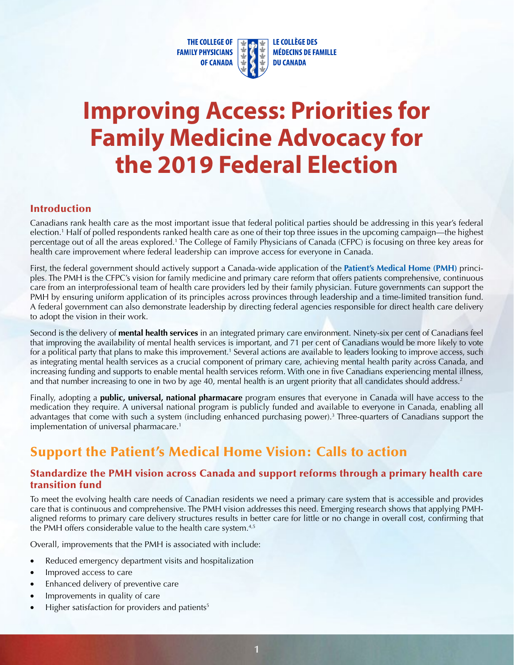**THE COLLEGE OF FAMILY PHYSICIANS OF CANADA**  LE COLLÈGE DES **MÉDECINS DE FAMILLE DU CANADA** 

# **Improving Access: Priorities for Family Medicine Advocacy for the 2019 Federal Election**

#### Introduction

Canadians rank health care as the most important issue that federal political parties should be addressing in this year's federal election.<sup>1</sup> Half of polled respondents ranked health care as one of their top three issues in the upcoming campaign—the highest percentage out of all the areas explored.1 The College of Family Physicians of Canada (CFPC) is focusing on three key areas for health care improvement where federal leadership can improve access for everyone in Canada.

First, the federal government should actively support a Canada-wide application of the **[Patient's Medical Home \(PMH\)](https://patientsmedicalhome.ca/vision/)** principles. The PMH is the CFPC's vision for family medicine and primary care reform that offers patients comprehensive, continuous care from an interprofessional team of health care providers led by their family physician. Future governments can support the PMH by ensuring uniform application of its principles across provinces through leadership and a time-limited transition fund. A federal government can also demonstrate leadership by directing federal agencies responsible for direct health care delivery to adopt the vision in their work.

Second is the delivery of **mental health services** in an integrated primary care environment. Ninety-six per cent of Canadians feel that improving the availability of mental health services is important, and 71 per cent of Canadians would be more likely to vote for a political party that plans to make this improvement.<sup>1</sup> Several actions are available to leaders looking to improve access, such as integrating mental health services as a crucial component of primary care, achieving mental health parity across Canada, and increasing funding and supports to enable mental health services reform. With one in five Canadians experiencing mental illness, and that number increasing to one in two by age 40, mental health is an urgent priority that all candidates should address.<sup>2</sup>

Finally, adopting a **public, universal, national pharmacare** program ensures that everyone in Canada will have access to the medication they require. A universal national program is publicly funded and available to everyone in Canada, enabling all advantages that come with such a system (including enhanced purchasing power).<sup>3</sup> Three-quarters of Canadians support the implementation of universal pharmacare.<sup>1</sup>

## Support the Patient's Medical Home Vision: Calls to action

#### Standardize the PMH vision across Canada and support reforms through a primary health care transition fund

To meet the evolving health care needs of Canadian residents we need a primary care system that is accessible and provides care that is continuous and comprehensive. The PMH vision addresses this need. Emerging research shows that applying PMHaligned reforms to primary care delivery structures results in better care for little or no change in overall cost, confirming that the PMH offers considerable value to the health care system.<sup>4,5</sup>

Overall, improvements that the PMH is associated with include:

- Reduced emergency department visits and hospitalization
- Improved access to care
- Enhanced delivery of preventive care
- Improvements in quality of care
- Higher satisfaction for providers and patients $5$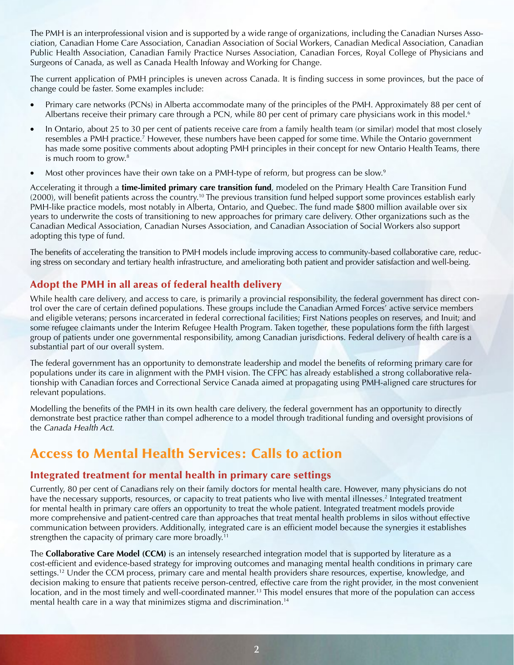The PMH is an interprofessional vision and is supported by a wide range of organizations, including the Canadian Nurses Association, Canadian Home Care Association, Canadian Association of Social Workers, Canadian Medical Association, Canadian Public Health Association, Canadian Family Practice Nurses Association, Canadian Forces, Royal College of Physicians and Surgeons of Canada, as well as Canada Health Infoway and Working for Change.

The current application of PMH principles is uneven across Canada. It is finding success in some provinces, but the pace of change could be faster. Some examples include:

- Primary care networks (PCNs) in Alberta accommodate many of the principles of the PMH. Approximately 88 per cent of Albertans receive their primary care through a PCN, while 80 per cent of primary care physicians work in this model.<sup>6</sup>
- In Ontario, about 25 to 30 per cent of patients receive care from a family health team (or similar) model that most closely resembles a PMH practice.<sup>7</sup> However, these numbers have been capped for some time. While the Ontario government has made some positive comments about adopting PMH principles in their concept for new Ontario Health Teams, there is much room to grow.<sup>8</sup>
- Most other provinces have their own take on a PMH-type of reform, but progress can be slow.<sup>9</sup>

Accelerating it through a **time-limited primary care transition fund**, modeled on the Primary Health Care Transition Fund (2000), will benefit patients across the [country.10](https://country.10) The previous transition fund helped support some provinces establish early PMH-like practice models, most notably in Alberta, Ontario, and Quebec. The fund made \$800 million available over six years to underwrite the costs of transitioning to new approaches for primary care delivery. Other organizations such as the Canadian Medical Association, Canadian Nurses Association, and Canadian Association of Social Workers also support adopting this type of fund.

The benefits of accelerating the transition to PMH models include improving access to community-based collaborative care, reducing stress on secondary and tertiary health infrastructure, and ameliorating both patient and provider satisfaction and well-being.

### Adopt the PMH in all areas of federal health delivery

While health care delivery, and access to care, is primarily a provincial responsibility, the federal government has direct control over the care of certain defined populations. These groups include the Canadian Armed Forces' active service members and eligible veterans; persons incarcerated in federal correctional facilities; First Nations peoples on reserves, and Inuit; and some refugee claimants under the Interim Refugee Health Program. Taken together, these populations form the fifth largest group of patients under one governmental responsibility, among Canadian jurisdictions. Federal delivery of health care is a substantial part of our overall system.

The federal government has an opportunity to demonstrate leadership and model the benefits of reforming primary care for populations under its care in alignment with the PMH vision. The CFPC has already established a strong collaborative relationship with Canadian forces and Correctional Service Canada aimed at propagating using PMH-aligned care structures for relevant populations.

Modelling the benefits of the PMH in its own health care delivery, the federal government has an opportunity to directly demonstrate best practice rather than compel adherence to a model through traditional funding and oversight provisions of the *Canada Health Act*.

## Access to Mental Health Services: Calls to action

#### Integrated treatment for mental health in primary care settings

 for mental health in primary care offers an opportunity to treat the whole patient. Integrated treatment models provide Currently, 80 per cent of Canadians rely on their family doctors for mental health care. However, many physicians do not have the necessary supports, resources, or capacity to treat patients who live with mental illnesses.<sup>2</sup> Integrated treatment more comprehensive and patient-centred care than approaches that treat mental health problems in silos without effective communication between providers. Additionally, integrated care is an efficient model because the synergies it establishes strengthen the capacity of primary care more broadly.<sup>11</sup>

 The **Collaborative Care Model (CCM)** is an intensely researched integration model that is supported by literature as a cost-efficient and evidence-based strategy for improving outcomes and managing mental health conditions in primary care settings.<sup>12</sup> Under the CCM process, primary care and mental health providers share resources, expertise, knowledge, and decision making to ensure that patients receive person-centred, effective care from the right provider, in the most convenient location, and in the most timely and well-coordinated manner.<sup>13</sup> This model ensures that more of the population can access mental health care in a way that minimizes stigma and discrimination.<sup>14</sup>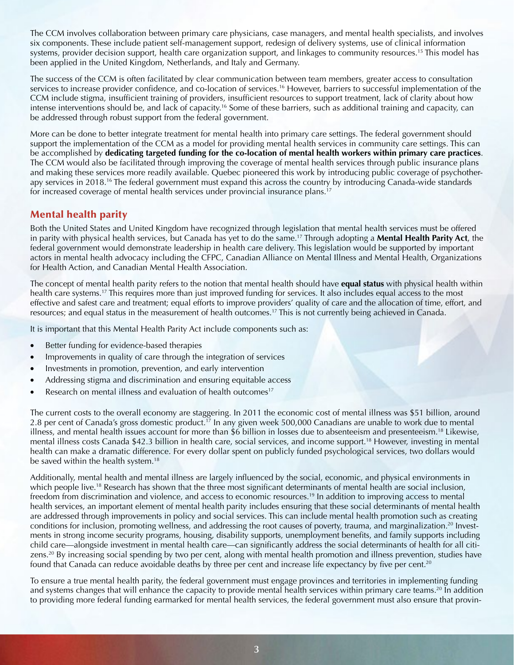The CCM involves collaboration between primary care physicians, case managers, and mental health specialists, and involves six components. These include patient self-management support, redesign of delivery systems, use of clinical information systems, provider decision support, health care organization support, and linkages to community resources.<sup>15</sup> This model has been applied in the United Kingdom, Netherlands, and Italy and Germany.

The success of the CCM is often facilitated by clear communication between team members, greater access to consultation services to increase provider confidence, and co-location of [services.16](https://services.16) However, barriers to successful implementation of the CCM include stigma, insufficient training of providers, insufficient resources to support treatment, lack of clarity about how intense interventions should be, and lack of [capacity.16](https://capacity.16) Some of these barriers, such as additional training and capacity, can be addressed through robust support from the federal government.

More can be done to better integrate treatment for mental health into primary care settings. The federal government should support the implementation of the CCM as a model for providing mental health services in community care settings. This can be accomplished by **dedicating targeted funding for the co-location of mental health workers within primary care practices**. The CCM would also be facilitated through improving the coverage of mental health services through public insurance plans and making these services more readily available. Quebec pioneered this work by introducing public coverage of psychotherapy services in 2018.16 The federal government must expand this across the country by introducing Canada-wide standards for increased coverage of mental health services under provincial insurance plans.<sup>17</sup>

#### Mental health parity

Both the United States and United Kingdom have recognized through legislation that mental health services must be offered in parity with physical health services, but Canada has yet to do the same.17 Through adopting a **Mental Health Parity Act**, the federal government would demonstrate leadership in health care delivery. This legislation would be supported by important actors in mental health advocacy including the CFPC, Canadian Alliance on Mental Illness and Mental Health, Organizations for Health Action, and Canadian Mental Health Association.

The concept of mental health parity refers to the notion that mental health should have **equal status** with physical health within health care systems.<sup>17</sup> This requires more than just improved funding for services. It also includes equal access to the most effective and safest care and treatment; equal efforts to improve providers' quality of care and the allocation of time, effort, and resources; and equal status in the measurement of health [outcomes.17](https://outcomes.17) This is not currently being achieved in Canada.

It is important that this Mental Health Parity Act include components such as:

- Better funding for evidence-based therapies
- Improvements in quality of care through the integration of services
- Investments in promotion, prevention, and early intervention
- Addressing stigma and discrimination and ensuring equitable access
- Research on mental illness and evaluation of health outcomes<sup>17</sup>

The current costs to the overall economy are staggering. In 2011 the economic cost of mental illness was \$51 billion, around 2.8 per cent of Canada's gross domestic [product.17](https://product.17) In any given week 500,000 Canadians are unable to work due to mental illness, and mental health issues account for more than \$6 billion in losses due to absenteeism and [presenteeism.18](https://presenteeism.18) Likewise, mental illness costs Canada \$42.3 billion in health care, social services, and income [support.18](https://support.18) However, investing in mental health can make a dramatic difference. For every dollar spent on publicly funded psychological services, two dollars would be saved within the health system.<sup>18</sup>

Additionally, mental health and mental illness are largely influenced by the social, economic, and physical environments in which people live.<sup>18</sup> Research has shown that the three most significant determinants of mental health are social inclusion, freedom from discrimination and violence, and access to economic [resources.19](https://resources.19) In addition to improving access to mental health services, an important element of mental health parity includes ensuring that these social determinants of mental health are addressed through improvements in policy and social services. This can include mental health promotion such as creating conditions for inclusion, promoting wellness, and addressing the root causes of poverty, trauma, and marginalization.<sup>20</sup> Investments in strong income security programs, housing, disability supports, unemployment benefits, and family supports including child care—alongside investment in mental health care—can significantly address the social determinants of health for all citizens.20 By increasing social spending by two per cent, along with mental health promotion and illness prevention, studies have found that Canada can reduce avoidable deaths by three per cent and increase life expectancy by five per cent.<sup>20</sup>

To ensure a true mental health parity, the federal government must engage provinces and territories in implementing funding and systems changes that will enhance the capacity to provide mental health services within primary care teams.<sup>20</sup> In addition to providing more federal funding earmarked for mental health services, the federal government must also ensure that provin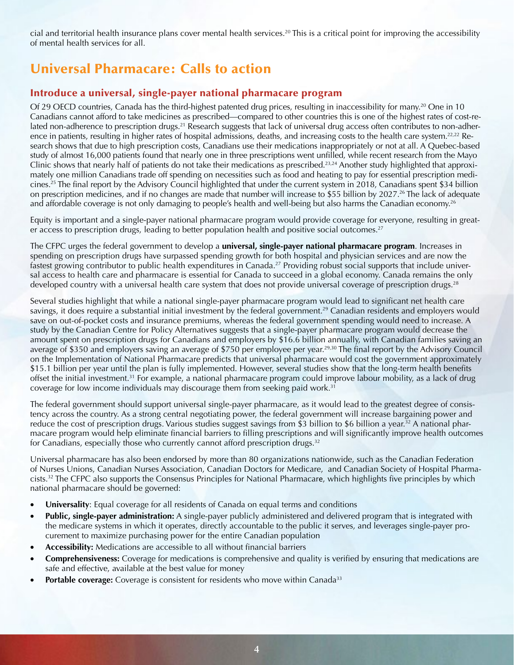cial and territorial health insurance plans cover mental health [services.20](https://services.20) This is a critical point for improving the accessibility of mental health services for all.

## Universal Pharmacare: Calls to action

#### Introduce a universal, single-payer national pharmacare program

Of 29 OECD countries, Canada has the third-highest patented drug prices, resulting in inaccessibility for many.20 One in 10 Canadians cannot afford to take medicines as prescribed—compared to other countries this is one of the highest rates of cost-related non-adherence to prescription drugs.<sup>21</sup> Research suggests that lack of universal drug access often contributes to non-adherence in patients, resulting in higher rates of hospital admissions, deaths, and increasing costs to the health care system.<sup>22,22</sup> Research shows that due to high prescription costs, Canadians use their medications inappropriately or not at all. A Quebec-based study of almost 16,000 patients found that nearly one in three prescriptions went unfilled, while recent research from the Mayo Clinic shows that nearly half of patients do not take their medications as prescribed.23,24 Another study highlighted that approximately one million Canadians trade off spending on necessities such as food and heating to pay for essential prescription medi[cines.25](https://cines.25) The final report by the Advisory Council highlighted that under the current system in 2018, Canadians spent \$34 billion on prescription medicines, and if no changes are made that number will increase to \$55 billion by 2027.<sup>26</sup> The lack of adequate and affordable coverage is not only damaging to people's health and well-being but also harms the Canadian economy.<sup>26</sup>

Equity is important and a single-payer national pharmacare program would provide coverage for everyone, resulting in greater access to prescription drugs, leading to better population health and positive social outcomes.<sup>27</sup>

The CFPC urges the federal government to develop a **universal, single-payer national pharmacare program**. Increases in spending on prescription drugs have surpassed spending growth for both hospital and physician services and are now the fastest growing contributor to public health expenditures in Canada.<sup>27</sup> Providing robust social supports that include universal access to health care and pharmacare is essential for Canada to succeed in a global economy. Canada remains the only developed country with a universal health care system that does not provide universal coverage of prescription drugs.<sup>28</sup>

Several studies highlight that while a national single-payer pharmacare program would lead to significant net health care savings, it does require a substantial initial investment by the federal government.<sup>29</sup> Canadian residents and employers would save on out-of-pocket costs and insurance premiums, whereas the federal government spending would need to increase. A study by the Canadian Centre for Policy Alternatives suggests that a single-payer pharmacare program would decrease the amount spent on prescription drugs for Canadians and employers by \$16.6 billion annually, with Canadian families saving an average of \$350 and employers saving an average of \$750 per employee per year.29,30 The final report by the Advisory Council on the Implementation of National Pharmacare predicts that universal pharmacare would cost the government approximately \$15.1 billion per year until the plan is fully implemented. However, several studies show that the long-term health benefits offset the initial [investment.31](https://investment.31) For example, a national pharmacare program could improve labour mobility, as a lack of drug coverage for low income individuals may discourage them from seeking paid work.31

The federal government should support universal single-payer pharmacare, as it would lead to the greatest degree of consistency across the country. As a strong central negotiating power, the federal government will increase bargaining power and reduce the cost of prescription drugs. Various studies suggest savings from \$3 billion to \$6 billion a year.<sup>32</sup> A national pharmacare program would help eliminate financial barriers to filling prescriptions and will significantly improve health outcomes for Canadians, especially those who currently cannot afford prescription drugs.<sup>32</sup>

Universal pharmacare has also been endorsed by more than 80 organizations nationwide, such as the Canadian Federation of Nurses Unions, Canadian Nurses Association, Canadian Doctors for Medicare, and Canadian Society of Hospital Pharma[cists.32](https://cists.32) The CFPC also supports the Consensus Principles for National Pharmacare, which highlights five principles by which national pharmacare should be governed:

- **Universality**: Equal coverage for all residents of Canada on equal terms and conditions
- **Public, single-payer administration:** A single-payer publicly administered and delivered program that is integrated with the medicare systems in which it operates, directly accountable to the public it serves, and leverages single-payer procurement to maximize purchasing power for the entire Canadian population
- **Accessibility:** Medications are accessible to all without financial barriers
- **Comprehensiveness:** Coverage for medications is comprehensive and quality is verified by ensuring that medications are safe and effective, available at the best value for money
- **Portable coverage:** Coverage is consistent for residents who move within Canada<sup>33</sup>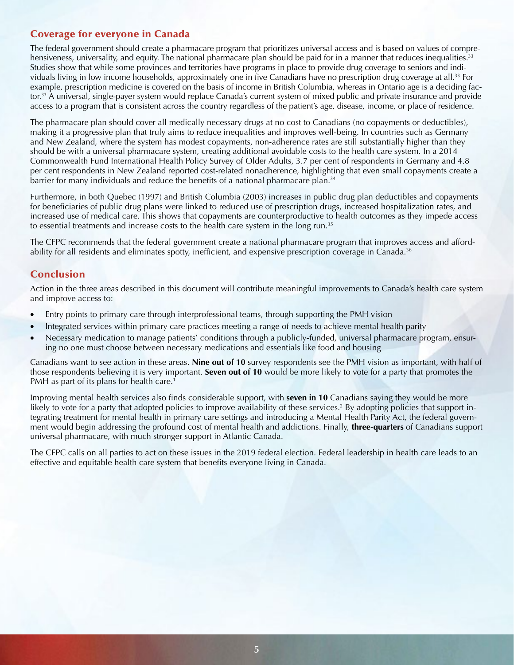#### Coverage for everyone in Canada

The federal government should create a pharmacare program that prioritizes universal access and is based on values of comprehensiveness, universality, and equity. The national pharmacare plan should be paid for in a manner that reduces inequalities.<sup>33</sup> Studies show that while some provinces and territories have programs in place to provide drug coverage to seniors and individuals living in low income households, approximately one in five Canadians have no prescription drug coverage at all.33 For example, prescription medicine is covered on the basis of income in British Columbia, whereas in Ontario age is a deciding factor.<sup>33</sup> A universal, single-payer system would replace Canada's current system of mixed public and private insurance and provide access to a program that is consistent across the country regardless of the patient's age, disease, income, or place of residence.

The pharmacare plan should cover all medically necessary drugs at no cost to Canadians (no copayments or deductibles), making it a progressive plan that truly aims to reduce inequalities and improves well-being. In countries such as Germany and New Zealand, where the system has modest copayments, non-adherence rates are still substantially higher than they should be with a universal pharmacare system, creating additional avoidable costs to the health care system. In a 2014 Commonwealth Fund International Health Policy Survey of Older Adults, 3.7 per cent of respondents in Germany and 4.8 per cent respondents in New Zealand reported cost-related nonadherence, highlighting that even small copayments create a barrier for many individuals and reduce the benefits of a national pharmacare plan.<sup>34</sup>

Furthermore, in both Quebec (1997) and British Columbia (2003) increases in public drug plan deductibles and copayments for beneficiaries of public drug plans were linked to reduced use of prescription drugs, increased hospitalization rates, and increased use of medical care. This shows that copayments are counterproductive to health outcomes as they impede access to essential treatments and increase costs to the health care system in the long run.<sup>35</sup>

The CFPC recommends that the federal government create a national pharmacare program that improves access and affordability for all residents and eliminates spotty, inefficient, and expensive prescription coverage in Canada.<sup>36</sup>

#### Conclusion

Action in the three areas described in this document will contribute meaningful improvements to Canada's health care system and improve access to:

- Entry points to primary care through interprofessional teams, through supporting the PMH vision
- Integrated services within primary care practices meeting a range of needs to achieve mental health parity
- Necessary medication to manage patients' conditions through a publicly-funded, universal pharmacare program, ensuring no one must choose between necessary medications and essentials like food and housing

Canadians want to see action in these areas. **Nine out of 10** survey respondents see the PMH vision as important, with half of those respondents believing it is very important. **Seven out of 10** would be more likely to vote for a party that promotes the PMH as part of its plans for health care.<sup>1</sup>

Improving mental health services also finds considerable support, with **seven in 10** Canadians saying they would be more likely to vote for a party that adopted policies to improve availability of these services.<sup>2</sup> By adopting policies that support integrating treatment for mental health in primary care settings and introducing a Mental Health Parity Act, the federal government would begin addressing the profound cost of mental health and addictions. Finally, **three-quarters** of Canadians support universal pharmacare, with much stronger support in Atlantic Canada.

The CFPC calls on all parties to act on these issues in the 2019 federal election. Federal leadership in health care leads to an effective and equitable health care system that benefits everyone living in Canada.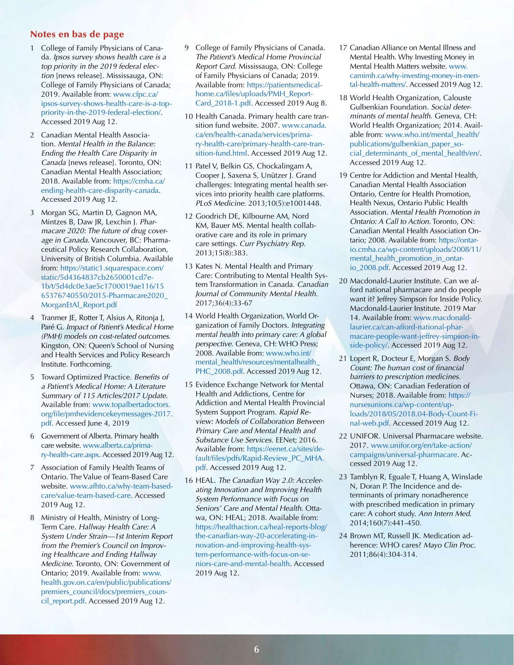#### Notes en bas de page

- 1 College of Family Physicians of Canada. *Ipsos survey shows health care is a top priority in the 2019 federal election* [news release]. Mississauga, ON: College of Family Physicians of Canada; 2019. Available from: [www.cfpc.ca/](http://www.cfpc.ca/ipsos-survey-shows-health-care-is-a-top-priority-in-the-2019-federal-election/) [ipsos-survey-shows-health-care-is-a-top](http://www.cfpc.ca/ipsos-survey-shows-health-care-is-a-top-priority-in-the-2019-federal-election/)[priority-in-the-2019-federal-election/](http://www.cfpc.ca/ipsos-survey-shows-health-care-is-a-top-priority-in-the-2019-federal-election/). Accessed 2019 Aug 12.
- 2 Canadian Mental Health Association. *Mental Health in the Balance: Ending the Health Care Disparity in Canada* [news release]. Toronto, ON: Canadian Mental Health Association; 2018. Available from: [https://cmha.ca/](https://cmha.ca/ending-health-care-disparity-canada)  [ending-health-care-disparity-canada](https://cmha.ca/ending-health-care-disparity-canada). Accessed 2019 Aug 12.
- 3 Morgan SG, Martin D, Gagnon MA, Mintzes B, Daw JR, Lexchin J. *Pharmacare 2020: The future of drug coverage in Canada*. Vancouver, BC: Pharmaceutical Policy Research Collaboration, University of British Columbia. Available from: [https://static1.squarespace.com/](https://static1.squarespace.com/static/5d4364837cb2650001cd7e1b/t/5d4dc0e3ae5c1700019ae116/1565376740550/2015-Pharmacare2020_MorganEtAl_Report.pdf) [static/5d4364837cb2650001cd7e-](https://static1.squarespace.com/static/5d4364837cb2650001cd7e1b/t/5d4dc0e3ae5c1700019ae116/1565376740550/2015-Pharmacare2020_MorganEtAl_Report.pdf)[1b/t/5d4dc0e3ae5c1700019ae116/15](https://static1.squarespace.com/static/5d4364837cb2650001cd7e1b/t/5d4dc0e3ae5c1700019ae116/1565376740550/2015-Pharmacare2020_MorganEtAl_Report.pdf)  [65376740550/2015-Pharmacare2020\\_](https://static1.squarespace.com/static/5d4364837cb2650001cd7e1b/t/5d4dc0e3ae5c1700019ae116/1565376740550/2015-Pharmacare2020_MorganEtAl_Report.pdf) [MorganEtAl\\_Report.pdf](https://static1.squarespace.com/static/5d4364837cb2650001cd7e1b/t/5d4dc0e3ae5c1700019ae116/1565376740550/2015-Pharmacare2020_MorganEtAl_Report.pdf)
- $\overline{4}$ Tranmer JE, Rotter T, Alsius A, Ritonja J, Paré G. *Impact of Patient's Medical Home (PMH) models on cost-related outcomes*. Kingston, ON: Queen's School of Nursing and Health Services and Policy Research Institute. Forthcoming.
- 5 Toward Optimized Practice. *Benefits of a Patient's Medical Home: A Literature Summary of 115 Articles/2017 Update*. Available from: [www.topalbertadoctors.](http://www.topalbertadoctors.org/file/pmhevidencekeymessages-2017.pdf) [org/file/pmhevidencekeymessages-2017.](http://www.topalbertadoctors.org/file/pmhevidencekeymessages-2017.pdf) [pdf.](http://www.topalbertadoctors.org/file/pmhevidencekeymessages-2017.pdf) Accessed June 4, 2019
- 6 Government of Alberta. Primary health care website. [www.alberta.ca/prima](http://www.alberta.ca/primary-health-care.aspx)[ry-health-care.aspx.](http://www.alberta.ca/primary-health-care.aspx) Accessed 2019 Aug 12.
- 7 Association of Family Health Teams of Ontario. The Value of Team-Based Care website. [www.afhto.ca/why-team-based](http://www.afhto.ca/why-team-based-care/value-team-based-care)[care/value-team-based-care.](http://www.afhto.ca/why-team-based-care/value-team-based-care) Accessed 2019 Aug 12.
- 8 Ministry of Health, Ministry of Long-Term Care. *Hallway Health Care: A System Under Strain—1st Interim Report from the Premier's Council on Improving Healthcare and Ending Hallway Medicine*. Toronto, ON: Government of Ontario; 2019. Available from: [www.](http://www.health.gov.on.ca/en/public/publications/premiers_council/docs/premiers_council_report.pdf)  [health.gov.on.ca/en/public/publications/](http://www.health.gov.on.ca/en/public/publications/premiers_council/docs/premiers_council_report.pdf) [premiers\\_council/docs/premiers\\_coun](http://www.health.gov.on.ca/en/public/publications/premiers_council/docs/premiers_council_report.pdf)[cil\\_report.pdf](http://www.health.gov.on.ca/en/public/publications/premiers_council/docs/premiers_council_report.pdf). Accessed 2019 Aug 12.
- 9 College of Family Physicians of Canada. *The Patient's Medical Home Provincial Report Card*. Mississauga, ON: College of Family Physicians of Canada; 2019. Available from: [https://patientsmedical](https://patientsmedicalhome.ca/files/uploads/PMH_ReportCard_2018-1.pdf)[home.ca/files/uploads/PMH\\_Report-](https://patientsmedicalhome.ca/files/uploads/PMH_ReportCard_2018-1.pdf)[Card\\_2018-1.pdf](https://patientsmedicalhome.ca/files/uploads/PMH_ReportCard_2018-1.pdf). Accessed 2019 Aug 8.
- 10 Health Canada. Primary health care transition fund website. 2007. [www.canada.](http://www.canada.ca/en/health-canada/services/primary-health-care/primary-health-care-transition-fund.html) [ca/en/health-canada/services/prima](http://www.canada.ca/en/health-canada/services/primary-health-care/primary-health-care-transition-fund.html)[ry-health-care/primary-health-care-tran](http://www.canada.ca/en/health-canada/services/primary-health-care/primary-health-care-transition-fund.html)[sition-fund.html.](http://www.canada.ca/en/health-canada/services/primary-health-care/primary-health-care-transition-fund.html) Accessed 2019 Aug 12.
- 11 Patel V, Belkin GS, Chockalingam A, Cooper J, Saxena S, Unützer J. Grand challenges: Integrating mental health services into priority health care platforms. *PLoS Medicine*. 2013;10(5):e1001448.
- 12 Goodrich DE, Kilbourne AM, Nord KM, Bauer MS. Mental health collaborative care and its role in primary care settings. *Curr Psychiatry Rep*. 2013;15(8):383.
- 13 Kates N. Mental Health and Primary Care: Contributing to Mental Health System Transformation in Canada. *Canadian Journal of Community Mental Health*. 2017;36(4):33-67
- 14 World Health Organization, World Organization of Family Doctors. *Integrating mental health into primary care: A global perspective*. Geneva, CH: WHO Press; 2008. Available from: [www.who.int/](http://www.who.int/mental_health/resources/mentalhealth_PHC_2008.pdf)  [mental\\_health/resources/mentalhealth\\_](http://www.who.int/mental_health/resources/mentalhealth_PHC_2008.pdf) [PHC\\_2008.pdf](http://www.who.int/mental_health/resources/mentalhealth_PHC_2008.pdf). Accessed 2019 Aug 12.
- 15 Evidence Exchange Network for Mental Health and Addictions, Centre for Addiction and Mental Health Provincial System Support Program. *Rapid Review: Models of Collaboration Between Primary Care and Mental Health and Substance Use Services*. EENet; 2016. Available from: [https://eenet.ca/sites/de](https://eenet.ca/sites/default/files/pdfs/Rapid-Review_PC_MHA.pdf)[fault/files/pdfs/Rapid-Review\\_PC\\_MHA.](https://eenet.ca/sites/default/files/pdfs/Rapid-Review_PC_MHA.pdf)  [pdf.](https://eenet.ca/sites/default/files/pdfs/Rapid-Review_PC_MHA.pdf) Accessed 2019 Aug 12.
- 16 HEAL. *The Canadian Way 2.0: Accelerating Innovation and Improving Health System Performance with Focus on Seniors' Care and Mental Health*. Ottawa, ON: HEAL; 2018. Available from: [https://healthaction.ca/heal-reports-blog/](https://healthaction.ca/heal-reports-blog/the-canadian-way-20-accelerating-innovation-and-improving-health-system-performance-with-focus-on-seniors-care-and-mental-health)  [the-canadian-way-20-accelerating-in](https://healthaction.ca/heal-reports-blog/the-canadian-way-20-accelerating-innovation-and-improving-health-system-performance-with-focus-on-seniors-care-and-mental-health)[novation-and-improving-health-sys](https://healthaction.ca/heal-reports-blog/the-canadian-way-20-accelerating-innovation-and-improving-health-system-performance-with-focus-on-seniors-care-and-mental-health)[tem-performance-with-focus-on-se](https://healthaction.ca/heal-reports-blog/the-canadian-way-20-accelerating-innovation-and-improving-health-system-performance-with-focus-on-seniors-care-and-mental-health)[niors-care-and-mental-health.](https://healthaction.ca/heal-reports-blog/the-canadian-way-20-accelerating-innovation-and-improving-health-system-performance-with-focus-on-seniors-care-and-mental-health) Accessed 2019 Aug 12.
- 17 Canadian Alliance on Mental Illness and Mental Health. Why Investing Money in Mental Health Matters website. [www.](http://www.camimh.ca/why-investing-money-in-mental-health-matters/) [camimh.ca/why-investing-money-in-men](http://www.camimh.ca/why-investing-money-in-mental-health-matters/)[tal-health-matters/.](http://www.camimh.ca/why-investing-money-in-mental-health-matters/) Accessed 2019 Aug 12.
- 18 World Health Organization, Calouste Gulbenkian Foundation. *Social determinants of mental health*. Geneva, CH: World Health Organization; 2014. Available from: [www.who.int/mental\\_health/](http://www.who.int/mental_health/publications/gulbenkian_paper_social_determinants_of_mental_health/en/) [publications/gulbenkian\\_paper\\_so](http://www.who.int/mental_health/publications/gulbenkian_paper_social_determinants_of_mental_health/en/)[cial\\_determinants\\_of\\_mental\\_health/en/.](http://www.who.int/mental_health/publications/gulbenkian_paper_social_determinants_of_mental_health/en/) Accessed 2019 Aug 12.
- 19 Centre for Addiction and Mental Health, Canadian Mental Health Association Ontario, Centre for Health Promotion, Health Nexus, Ontario Public Health Association. *Mental Health Promotion in Ontario: A Call to Action*. Toronto, ON: Canadian Mental Health Association Ontario; 2008. Available from: [https://ontar](https://ontario.cmha.ca/wp-content/uploads/2008/11/mental_health_promotion_in_ontario_2008.pdf)[io.cmha.ca/wp-content/uploads/2008/11/](https://ontario.cmha.ca/wp-content/uploads/2008/11/mental_health_promotion_in_ontario_2008.pdf)  [mental\\_health\\_promotion\\_in\\_ontar](https://ontario.cmha.ca/wp-content/uploads/2008/11/mental_health_promotion_in_ontario_2008.pdf)[io\\_2008.pdf](https://ontario.cmha.ca/wp-content/uploads/2008/11/mental_health_promotion_in_ontario_2008.pdf). Accessed 2019 Aug 12.
- 20 Macdonald-Laurier Institute. Can we afford national pharmacare and do people want it? Jeffrey Simpson for Inside Policy. Macdonald-Laurier Institute. 2019 Mar 14. Available from: [www.macdonald](http://www.macdonaldlaurier.ca/can-afford-national-pharmacare-people-want-jeffrey-simpson-inside-policy/)[laurier.ca/can-afford-national-phar](http://www.macdonaldlaurier.ca/can-afford-national-pharmacare-people-want-jeffrey-simpson-inside-policy/)[macare-people-want-jeffrey-simpson-in](http://www.macdonaldlaurier.ca/can-afford-national-pharmacare-people-want-jeffrey-simpson-inside-policy/)[side-policy/.](http://www.macdonaldlaurier.ca/can-afford-national-pharmacare-people-want-jeffrey-simpson-inside-policy/) Accessed 2019 Aug 12.
- 21 Lopert R, Docteur E, Morgan S. *Body Count: The human cost of financial barriers to prescription medicines*. Ottawa, ON: Canadian Federation of Nurses; 2018. Available from: [https://](https://nursesunions.ca/wp-content/uploads/2018/05/2018.04-Body-Count-Final-web.pdf)  [nursesunions.ca/wp-content/up](https://nursesunions.ca/wp-content/uploads/2018/05/2018.04-Body-Count-Final-web.pdf)[loads/2018/05/2018.04-Body-Count-Fi](https://nursesunions.ca/wp-content/uploads/2018/05/2018.04-Body-Count-Final-web.pdf)[nal-web.pdf.](https://nursesunions.ca/wp-content/uploads/2018/05/2018.04-Body-Count-Final-web.pdf) Accessed 2019 Aug 12.
- 22 UNIFOR. Universal Pharmacare website. 2017. [www.unifor.org/en/take-action/](http://www.unifor.org/en/take-action/campaigns/universal-pharmacare) [campaigns/universal-pharmacare.](http://www.unifor.org/en/take-action/campaigns/universal-pharmacare) Accessed 2019 Aug 12.
- 23 Tamblyn R, Eguale T, Huang A, Winslade N, Doran P. The Incidence and determinants of primary nonadherence with prescribed medication in primary care: A cohort study. *Ann Intern Med*. 2014;160(7):441-450.
- 24 Brown MT, Russell JK. Medication adherence: WHO cares? *Mayo Clin Proc*. 2011;86(4):304-314.